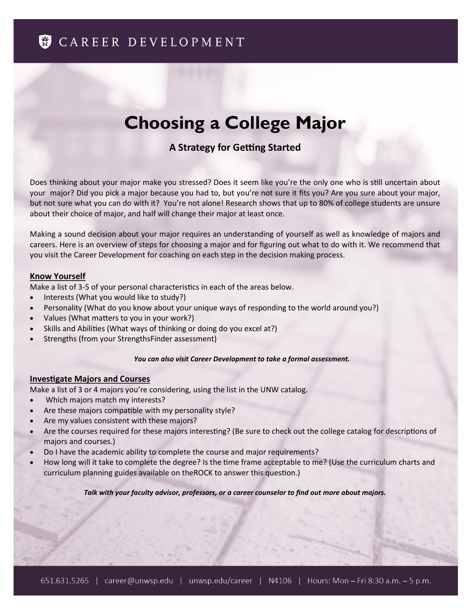# **S** CAREER DEVELOPMENT

# **Choosing a College Major**

# **A Strategy for Getting Started**

Does thinking about your major make you stressed? Does it seem like you're the only one who is still uncertain about your major? Did you pick a major because you had to, but you're not sure it fits you? Are you sure about your major, but not sure what you can do with it? You're not alone! Research shows that up to 80% of college students are unsure about their choice of major, and half will change their major at least once.

Making a sound decision about your major requires an understanding of yourself as well as knowledge of majors and careers. Here is an overview of steps for choosing a major and for figuring out what to do with it. We recommend that you visit the Career Development for coaching on each step in the decision making process.

# **Know Yourself**

Make a list of 3-5 of your personal characteristics in each of the areas below.

- Interests (What you would like to study?)
- Personality (What do you know about your unique ways of responding to the world around you?)
- Values (What matters to you in your work?)
- Skills and Abilities (What ways of thinking or doing do you excel at?)
- Strengths (from your StrengthsFinder assessment)

# *You can also visit Career Development to take a formal assessment.*

# **Investigate Majors and Courses**

Make a list of 3 or 4 majors you're considering, using the list in the UNW catalog.

- Which majors match my interests?
- Are these majors compatible with my personality style?
- Are my values consistent with these majors?
- Are the courses required for these majors interesting? (Be sure to check out the college catalog for descriptions of majors and courses.)
- Do I have the academic ability to complete the course and major requirements?
- How long will it take to complete the degree? Is the time frame acceptable to me? (Use the curriculum charts and curriculum planning guides available on theROCK to answer this question.)

#### *Talk with your faculty advisor, professors, or a career counselor to find out more about majors.*